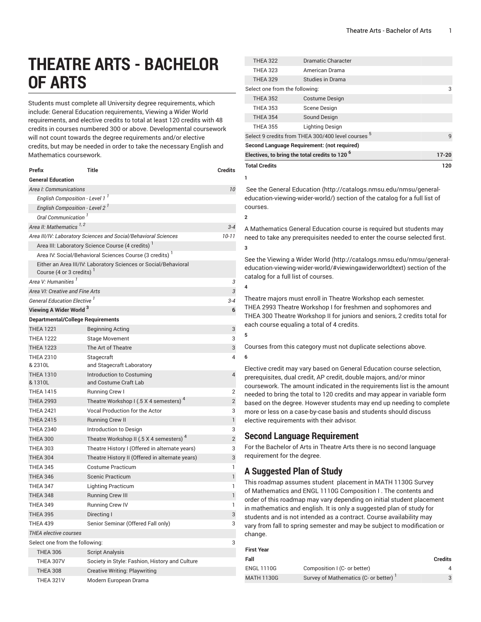## **THEATRE ARTS - BACHELOR OF ARTS**

Students must complete all University degree requirements, which include: General Education requirements, Viewing a Wider World requirements, and elective credits to total at least 120 credits with 48 credits in courses numbered 300 or above. Developmental coursework will not count towards the degree requirements and/or elective credits, but may be needed in order to take the necessary English and Mathematics coursework.

| Prefix                                     | Title                                                               | <b>Credits</b> |  |
|--------------------------------------------|---------------------------------------------------------------------|----------------|--|
| <b>General Education</b>                   |                                                                     |                |  |
| Area I: Communications                     |                                                                     | 10             |  |
| English Composition - Level 1 <sup>1</sup> |                                                                     |                |  |
| English Composition - Level 2              |                                                                     |                |  |
| Oral Communication '                       |                                                                     |                |  |
| Area II: Mathematics <sup>1,2</sup>        |                                                                     | $3 - 4$        |  |
|                                            | Area III/IV: Laboratory Sciences and Social/Behavioral Sciences     | $10 - 11$      |  |
|                                            | Area III: Laboratory Science Course (4 credits) <sup>1</sup>        |                |  |
|                                            | Area IV: Social/Behavioral Sciences Course (3 credits) <sup>1</sup> |                |  |
| Course (4 or 3 credits) <sup>1</sup>       | Either an Area III/IV: Laboratory Sciences or Social/Behavioral     |                |  |
| Area V: Humanities <sup>1</sup>            |                                                                     | 3              |  |
| Area VI: Creative and Fine Arts            |                                                                     | 3              |  |
| General Education Elective <sup>1</sup>    |                                                                     | $3 - 4$        |  |
| Viewing A Wider World <sup>3</sup>         |                                                                     | 6              |  |
| <b>Departmental/College Requirements</b>   |                                                                     |                |  |
| <b>THEA 1221</b>                           | Beginning Acting                                                    | 3              |  |
| <b>THEA 1222</b>                           | Stage Movement                                                      | 3              |  |
| <b>THEA 1223</b>                           | The Art of Theatre                                                  | 3              |  |
| <b>THEA 2310</b><br>& 2310L                | Stagecraft<br>and Stagecraft Laboratory                             | 4              |  |
| <b>THEA 1310</b><br>& 1310L                | Introduction to Costuming<br>and Costume Craft Lab                  | $\overline{4}$ |  |
| <b>THEA 1415</b>                           | <b>Running Crew I</b>                                               | 2              |  |
| <b>THEA 2993</b>                           | Theatre Workshop I (.5 X 4 semesters) <sup>4</sup>                  | $\overline{2}$ |  |
| <b>THEA 2421</b>                           | <b>Vocal Production for the Actor</b>                               | 3              |  |
| <b>THEA 2415</b>                           | <b>Running Crew II</b>                                              | 1              |  |
| <b>THEA 2340</b>                           | Introduction to Design                                              | 3              |  |
| <b>THEA 300</b>                            | Theatre Workshop II (.5 X 4 semesters) <sup>4</sup>                 | $\overline{2}$ |  |
| <b>THEA 303</b>                            | Theatre History I (Offered in alternate years)                      | 3              |  |
| <b>THEA 304</b>                            | Theatre History II (Offered in alternate years)                     | 3              |  |
| <b>THEA 345</b>                            | <b>Costume Practicum</b>                                            | 1              |  |
| <b>THEA 346</b>                            | Scenic Practicum                                                    | 1              |  |
| <b>THEA 347</b>                            | Lighting Practicum                                                  | 1              |  |
| <b>THEA 348</b>                            | <b>Running Crew III</b>                                             | 1              |  |
| <b>THEA 349</b>                            | <b>Running Crew IV</b>                                              | 1              |  |
| <b>THEA 395</b>                            | Directing I                                                         | 3              |  |
| <b>THEA 439</b>                            | Senior Seminar (Offered Fall only)                                  | 3              |  |
| <b>THEA elective courses</b>               |                                                                     |                |  |
| Select one from the following:<br>3        |                                                                     |                |  |
| <b>THEA 306</b>                            | <b>Script Analysis</b>                                              |                |  |
| THEA 307V                                  | Society in Style: Fashion, History and Culture                      |                |  |
| <b>THEA 308</b>                            | <b>Creative Writing: Playwriting</b>                                |                |  |
| <b>THEA 321V</b>                           | Modern European Drama                                               |                |  |

| <b>THEA 322</b>                                           | Dramatic Character    |           |  |
|-----------------------------------------------------------|-----------------------|-----------|--|
| <b>THEA 323</b>                                           | American Drama        |           |  |
| <b>THEA 329</b>                                           | Studies in Drama      |           |  |
| Select one from the following:                            | 3                     |           |  |
| <b>THEA 352</b>                                           | <b>Costume Design</b> |           |  |
| <b>THEA 353</b>                                           | Scene Design          |           |  |
| <b>THEA 354</b>                                           | Sound Design          |           |  |
| <b>THEA 355</b>                                           | Lighting Design       |           |  |
| Select 9 credits from THEA 300/400 level courses 5        |                       |           |  |
| Second Language Requirement: (not required)               |                       |           |  |
| Electives, to bring the total credits to 120 <sup>6</sup> |                       | $17 - 20$ |  |
| <b>Total Credits</b>                                      |                       | 120       |  |
|                                                           |                       |           |  |

 See the General [Education](http://catalogs.nmsu.edu/nmsu/general-education-viewing-wider-world/) ([http://catalogs.nmsu.edu/nmsu/general](http://catalogs.nmsu.edu/nmsu/general-education-viewing-wider-world/)[education-viewing-wider-world/\)](http://catalogs.nmsu.edu/nmsu/general-education-viewing-wider-world/) section of the catalog for a full list of courses.

**2**

**4**

A Mathematics General Education course is required but students may need to take any prerequisites needed to enter the course selected first. **3**

See the [Viewing](http://catalogs.nmsu.edu/nmsu/general-education-viewing-wider-world/#viewingawiderworldtext) a Wider World [\(http://catalogs.nmsu.edu/nmsu/general](http://catalogs.nmsu.edu/nmsu/general-education-viewing-wider-world/#viewingawiderworldtext)[education-viewing-wider-world/#viewingawiderworldtext\)](http://catalogs.nmsu.edu/nmsu/general-education-viewing-wider-world/#viewingawiderworldtext) section of the catalog for a full list of courses.

Theatre majors must enroll in Theatre Workshop each semester. THEA 2993 Theatre Workshop I for freshmen and sophomores and THEA 300 Theatre Workshop II for juniors and seniors, 2 credits total for each course equaling a total of 4 credits.

**5**

Courses from this category must not duplicate selections above.

**6**

Elective credit may vary based on General Education course selection, prerequisites, dual credit, AP credit, double majors, and/or minor coursework. The amount indicated in the requirements list is the amount needed to bring the total to 120 credits and may appear in variable form based on the degree. However students may end up needing to complete more or less on a case-by-case basis and students should discuss elective requirements with their advisor.

## **Second Language Requirement**

For the Bachelor of Arts in Theatre Arts there is no second language requirement for the degree.

## **A Suggested Plan of Study**

This roadmap assumes student placement in MATH 1130G Survey of Mathematics and ENGL 1110G Composition I . The contents and order of this roadmap may vary depending on initial student placement in mathematics and english. It is only a suggested plan of study for students and is not intended as a contract. Course availability may vary from fall to spring semester and may be subject to modification or change.

| <b>First Year</b> |                                      |         |
|-------------------|--------------------------------------|---------|
| Fall              |                                      | Credits |
| <b>ENGL 1110G</b> | Composition I (C- or better)         |         |
| <b>MATH 1130G</b> | Survey of Mathematics (C- or better) |         |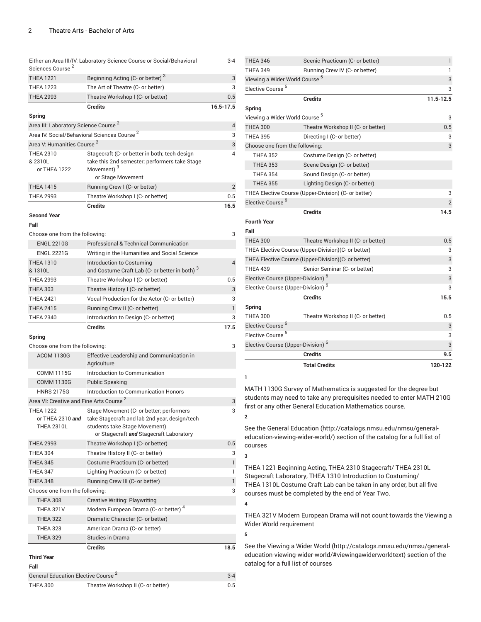| Either an Area III/IV: Laboratory Science Course or Social/Behavioral<br>Sciences Course <sup>2</sup> | 3-4                                                                                    |                |  |
|-------------------------------------------------------------------------------------------------------|----------------------------------------------------------------------------------------|----------------|--|
| <b>THEA 1221</b>                                                                                      | Beginning Acting (C- or better) <sup>3</sup>                                           | 3              |  |
| <b>THEA 1223</b>                                                                                      | The Art of Theatre (C- or better)                                                      | 3              |  |
| <b>THEA 2993</b>                                                                                      | Theatre Workshop I (C- or better)                                                      | 0.5            |  |
|                                                                                                       | <b>Credits</b>                                                                         | 16.5-17.5      |  |
| Spring                                                                                                |                                                                                        |                |  |
| Area III: Laboratory Science Course <sup>2</sup>                                                      |                                                                                        |                |  |
| Area IV: Social/Behavioral Sciences Course <sup>2</sup>                                               |                                                                                        | 3              |  |
| Area V: Humanities Course 2                                                                           |                                                                                        | 3              |  |
| <b>THEA 2310</b>                                                                                      | Stagecraft (C- or better in both; tech design                                          | 4              |  |
| & 2310L                                                                                               | take this 2nd semester; performers take Stage                                          |                |  |
| or THEA 1222                                                                                          | Movement) <sup>3</sup>                                                                 |                |  |
|                                                                                                       | or Stage Movement                                                                      | $\overline{2}$ |  |
| <b>THEA 1415</b><br><b>THEA 2993</b>                                                                  | Running Crew I (C- or better)                                                          | 0.5            |  |
|                                                                                                       | Theatre Workshop I (C- or better)                                                      |                |  |
|                                                                                                       | <b>Credits</b>                                                                         | 16.5           |  |
| <b>Second Year</b>                                                                                    |                                                                                        |                |  |
| Fall                                                                                                  |                                                                                        |                |  |
| Choose one from the following:                                                                        |                                                                                        | 3              |  |
| <b>ENGL 2210G</b>                                                                                     | Professional & Technical Communication                                                 |                |  |
| <b>ENGL 2221G</b>                                                                                     | Writing in the Humanities and Social Science                                           |                |  |
| <b>THEA 1310</b><br>& 1310L                                                                           | Introduction to Costuming<br>and Costume Craft Lab (C- or better in both) <sup>3</sup> | $\overline{4}$ |  |
| <b>THEA 2993</b>                                                                                      | Theatre Workshop I (C- or better)                                                      | 0.5            |  |
| <b>THEA 303</b>                                                                                       |                                                                                        |                |  |
| <b>THEA 2421</b>                                                                                      | Theatre History I (C- or better)                                                       | 3<br>3         |  |
| <b>THEA 2415</b>                                                                                      | Vocal Production for the Actor (C- or better)                                          | 1              |  |
| <b>THEA 2340</b>                                                                                      | Running Crew II (C- or better)                                                         | 3              |  |
|                                                                                                       | Introduction to Design (C- or better)                                                  |                |  |
|                                                                                                       | <b>Credits</b>                                                                         | 17.5           |  |
| Spring                                                                                                |                                                                                        |                |  |
| Choose one from the following:                                                                        |                                                                                        | 3              |  |
| <b>ACOM 1130G</b>                                                                                     | Effective Leadership and Communication in<br>Agriculture                               |                |  |
| <b>COMM 1115G</b>                                                                                     | Introduction to Communication                                                          |                |  |
| <b>COMM 1130G</b>                                                                                     | <b>Public Speaking</b>                                                                 |                |  |
| <b>HNRS 2175G</b>                                                                                     | Introduction to Communication Honors                                                   |                |  |
| Area VI: Creative and Fine Arts Course <sup>2</sup>                                                   |                                                                                        | 3              |  |
| <b>THEA 1222</b>                                                                                      | Stage Movement (C- or better; performers                                               | 3              |  |
| or THEA 2310 and<br><b>THEA 2310L</b>                                                                 | take Stagecraft and lab 2nd year, design/tech                                          |                |  |
|                                                                                                       | students take Stage Movement)<br>or Stagecraft and Stagecraft Laboratory               |                |  |
| <b>THEA 2993</b>                                                                                      | Theatre Workshop I (C- or better)                                                      | 0.5            |  |
| <b>THEA 304</b>                                                                                       | Theatre History II (C- or better)                                                      | 3              |  |
| <b>THEA 345</b>                                                                                       |                                                                                        |                |  |
| <b>THEA 347</b>                                                                                       |                                                                                        |                |  |
|                                                                                                       | Costume Practicum (C- or better)                                                       | 1<br>1         |  |
|                                                                                                       | Lighting Practicum (C- or better)                                                      |                |  |
| <b>THEA 348</b>                                                                                       | Running Crew III (C- or better)                                                        | 1              |  |
| Choose one from the following:                                                                        |                                                                                        | 3              |  |
| <b>THEA 308</b>                                                                                       | <b>Creative Writing: Playwriting</b>                                                   |                |  |
| <b>THEA 321V</b>                                                                                      | Modern European Drama (C- or better) <sup>4</sup>                                      |                |  |
| <b>THEA 322</b><br><b>THEA 323</b>                                                                    | Dramatic Character (C- or better)                                                      |                |  |
| <b>THEA 329</b>                                                                                       | American Drama (C- or better)<br>Studies in Drama                                      |                |  |
|                                                                                                       |                                                                                        |                |  |
|                                                                                                       | <b>Credits</b>                                                                         | 18.5           |  |
| <b>Third Year</b>                                                                                     |                                                                                        |                |  |
| Fall<br>General Education Elective Course <sup>2</sup>                                                |                                                                                        | $3 - 4$        |  |

| <b>THEA 346</b>                               | Scenic Practicum (C- or better)                      | 1              |
|-----------------------------------------------|------------------------------------------------------|----------------|
| <b>THEA 349</b>                               | Running Crew IV (C- or better)                       | 1              |
| Viewing a Wider World Course <sup>5</sup>     |                                                      | 3              |
| Elective Course <sup>6</sup>                  |                                                      | 3              |
|                                               | <b>Credits</b>                                       | 11.5-12.5      |
| Spring                                        |                                                      |                |
| Viewing a Wider World Course <sup>5</sup>     |                                                      | 3              |
| <b>THEA 300</b>                               | Theatre Workshop II (C- or better)                   | 0.5            |
| <b>THEA 395</b>                               | Directing I (C- or better)                           | 3              |
| Choose one from the following:                |                                                      | 3              |
| <b>THEA 352</b>                               | Costume Design (C- or better)                        |                |
| <b>THEA 353</b>                               | Scene Design (C- or better)                          |                |
| <b>THEA 354</b>                               | Sound Design (C- or better)                          |                |
| <b>THEA 355</b>                               | Lighting Design (C- or better)                       |                |
|                                               | THEA Elective Course (Upper-Division) (C- or better) | 3              |
| Elective Course <sup>6</sup>                  |                                                      | $\overline{2}$ |
|                                               | <b>Credits</b>                                       | 14.5           |
| <b>Fourth Year</b>                            |                                                      |                |
| Fall                                          |                                                      |                |
| <b>THEA 300</b>                               | Theatre Workshop II (C- or better)                   | 0.5            |
|                                               | THEA Elective Course (Upper-Division)(C- or better)  | 3              |
|                                               | THEA Elective Course (Upper-Division) (C- or better) | 3              |
| <b>THEA 439</b>                               | Senior Seminar (C- or better)                        | 3              |
| Elective Course (Upper-Division) <sup>6</sup> |                                                      | 3              |
| Elective Course (Upper-Division) <sup>6</sup> |                                                      | 3              |
|                                               | <b>Credits</b>                                       | 15.5           |
| Spring                                        |                                                      |                |
| <b>THEA 300</b>                               | Theatre Workshop II (C- or better)                   | 0.5            |
| <b>Elective Course</b>                        |                                                      | 3              |
| Elective Course <sup>6</sup>                  |                                                      | 3              |
| Elective Course (Upper-Division) <sup>6</sup> |                                                      | 3              |
|                                               | <b>Credits</b>                                       | 9.5            |
|                                               | <b>Total Credits</b>                                 | 120-122        |
| 1                                             |                                                      |                |

MATH 1130G Survey of Mathematics is suggested for the degree but students may need to take any prerequisites needed to enter MATH 210G first or any other General Education Mathematics course.

See the General [Education](http://catalogs.nmsu.edu/nmsu/general-education-viewing-wider-world/) ([http://catalogs.nmsu.edu/nmsu/general](http://catalogs.nmsu.edu/nmsu/general-education-viewing-wider-world/)[education-viewing-wider-world/\)](http://catalogs.nmsu.edu/nmsu/general-education-viewing-wider-world/) section of the catalog for a full list of courses

**2**

**3**

**4**

**5**

THEA 1221 Beginning Acting, THEA 2310 Stagecraft/ THEA 2310L Stagecraft Laboratory, THEA 1310 Introduction to Costuming/ THEA 1310L Costume Craft Lab can be taken in any order, but all five courses must be completed by the end of Year Two.

THEA 321V Modern European Drama will not count towards the Viewing a Wider World requirement

See the [Viewing](http://catalogs.nmsu.edu/nmsu/general-education-viewing-wider-world/#viewingawiderworldtext) a Wider World [\(http://catalogs.nmsu.edu/nmsu/general](http://catalogs.nmsu.edu/nmsu/general-education-viewing-wider-world/#viewingawiderworldtext)[education-viewing-wider-world/#viewingawiderworldtext\)](http://catalogs.nmsu.edu/nmsu/general-education-viewing-wider-world/#viewingawiderworldtext) section of the catalog for a full list of courses